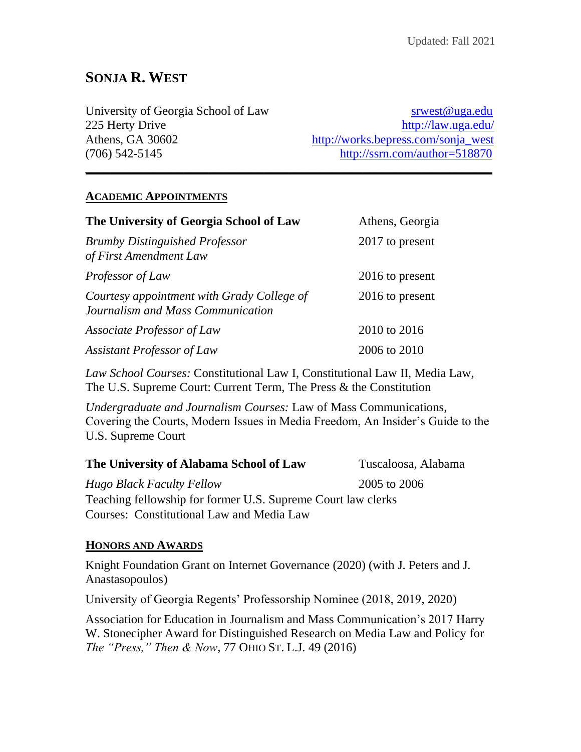# **SONJA R. WEST**

| University of Georgia School of Law | srwest@uga.edu                      |
|-------------------------------------|-------------------------------------|
| 225 Herty Drive                     | http://law.uga.edu/                 |
| Athens, GA 30602                    | http://works.bepress.com/sonja_west |
| (706) 542-5145                      | http://ssrn.com/author= $518870$    |

**\_\_\_\_\_\_\_\_\_\_\_\_\_\_\_\_\_\_\_\_\_\_\_\_\_\_\_\_\_\_\_\_\_\_\_\_\_\_\_\_\_\_\_\_\_\_\_\_\_\_\_\_\_\_\_\_\_\_\_\_\_\_\_\_\_\_**

#### **ACADEMIC APPOINTMENTS**

| The University of Georgia School of Law                                         | Athens, Georgia |  |
|---------------------------------------------------------------------------------|-----------------|--|
| <b>Brumby Distinguished Professor</b><br>of First Amendment Law                 | 2017 to present |  |
| Professor of Law                                                                | 2016 to present |  |
| Courtesy appointment with Grady College of<br>Journalism and Mass Communication | 2016 to present |  |
| Associate Professor of Law                                                      | 2010 to 2016    |  |
| <b>Assistant Professor of Law</b>                                               | 2006 to 2010    |  |

*Law School Courses:* Constitutional Law I, Constitutional Law II, Media Law, The U.S. Supreme Court: Current Term, The Press & the Constitution

*Undergraduate and Journalism Courses:* Law of Mass Communications, Covering the Courts, Modern Issues in Media Freedom, An Insider's Guide to the U.S. Supreme Court

#### **The University of Alabama School of Law** Tuscaloosa, Alabama

*Hugo Black Faculty Fellow* 2005 to 2006 Teaching fellowship for former U.S. Supreme Court law clerks Courses: Constitutional Law and Media Law

#### **HONORS AND AWARDS**

Knight Foundation Grant on Internet Governance (2020) (with J. Peters and J. Anastasopoulos)

University of Georgia Regents' Professorship Nominee (2018, 2019, 2020)

Association for Education in Journalism and Mass Communication's 2017 Harry W. Stonecipher Award for Distinguished Research on Media Law and Policy for *The "Press," Then & Now*, 77 OHIO ST. L.J. 49 (2016)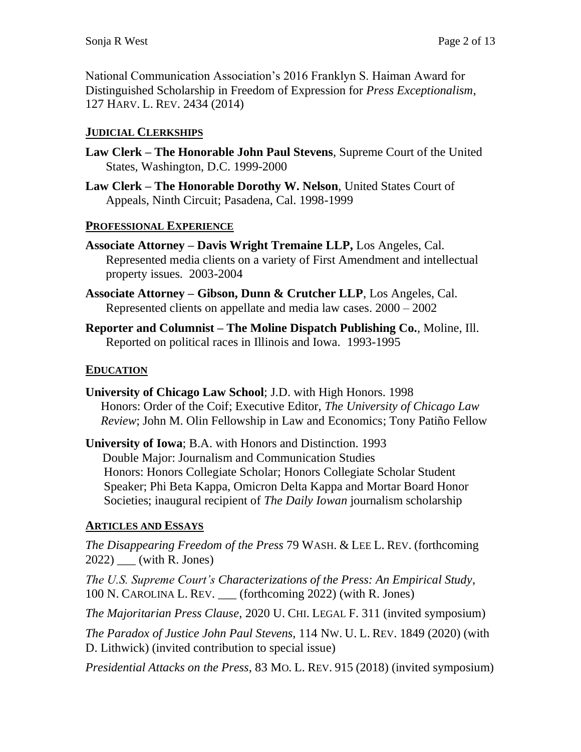National Communication Association's 2016 Franklyn S. Haiman Award for Distinguished Scholarship in Freedom of Expression for *Press Exceptionalism*, 127 HARV. L. REV. 2434 (2014)

### **JUDICIAL CLERKSHIPS**

- **Law Clerk – The Honorable John Paul Stevens**, Supreme Court of the United States, Washington, D.C. 1999-2000
- **Law Clerk – The Honorable Dorothy W. Nelson**, United States Court of Appeals, Ninth Circuit; Pasadena, Cal. 1998-1999

#### **PROFESSIONAL EXPERIENCE**

- **Associate Attorney – Davis Wright Tremaine LLP,** Los Angeles, Cal. Represented media clients on a variety of First Amendment and intellectual property issues. 2003-2004
- **Associate Attorney – Gibson, Dunn & Crutcher LLP**, Los Angeles, Cal. Represented clients on appellate and media law cases. 2000 – 2002
- **Reporter and Columnist – The Moline Dispatch Publishing Co.**, Moline, Ill. Reported on political races in Illinois and Iowa. 1993-1995

#### **EDUCATION**

- **University of Chicago Law School**; J.D. with High Honors. 1998 Honors: Order of the Coif; Executive Editor, *The University of Chicago Law Review*; John M. Olin Fellowship in Law and Economics; Tony Patiño Fellow
- **University of Iowa**; B.A. with Honors and Distinction. 1993 Double Major: Journalism and Communication Studies Honors: Honors Collegiate Scholar; Honors Collegiate Scholar Student Speaker; Phi Beta Kappa, Omicron Delta Kappa and Mortar Board Honor Societies; inaugural recipient of *The Daily Iowan* journalism scholarship

### **ARTICLES AND ESSAYS**

*The Disappearing Freedom of the Press* 79 WASH. & LEE L. REV. (forthcoming 2022) \_\_\_ (with R. Jones)

*The U.S. Supreme Court's Characterizations of the Press: An Empirical Study*, 100 N. CAROLINA L. REV. \_\_\_ (forthcoming 2022) (with R. Jones)

*The Majoritarian Press Clause*, 2020 U. CHI. LEGAL F. 311 (invited symposium)

*The Paradox of Justice John Paul Stevens,* 114 NW. U. L. REV. 1849 (2020) (with D. Lithwick) (invited contribution to special issue)

*Presidential Attacks on the Press*, 83 MO. L. REV. 915 (2018) (invited symposium)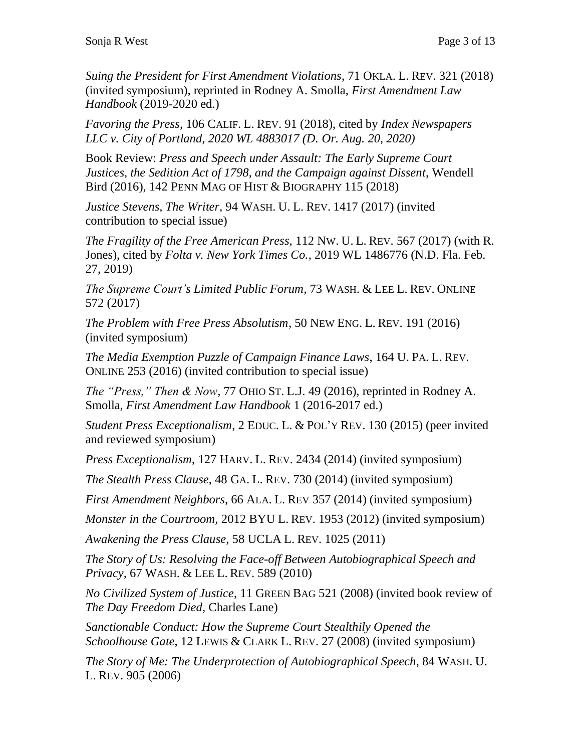*Suing the President for First Amendment Violations*, 71 OKLA. L. REV. 321 (2018) (invited symposium), reprinted in Rodney A. Smolla, *First Amendment Law Handbook* (2019-2020 ed.)

*Favoring the Press,* 106 CALIF. L. REV. 91 (2018), cited by *Index Newspapers LLC v. City of Portland, 2020 WL 4883017 (D. Or. Aug. 20, 2020)*

Book Review: *Press and Speech under Assault: The Early Supreme Court Justices, the Sedition Act of 1798, and the Campaign against Dissent*, Wendell Bird (2016), 142 PENN MAG OF HIST & BIOGRAPHY 115 (2018)

*Justice Stevens, The Writer*, 94 WASH. U. L. REV. 1417 (2017) (invited contribution to special issue)

*The Fragility of the Free American Press,* 112 NW. U. L. REV. 567 (2017) (with R. Jones), cited by *Folta v. New York Times Co.*, 2019 WL 1486776 (N.D. Fla. Feb. 27, 2019)

*The Supreme Court's Limited Public Forum,* 73 WASH. & LEE L. REV. ONLINE 572 (2017)

*The Problem with Free Press Absolutism*, 50 NEW ENG. L. REV. 191 (2016) (invited symposium)

*The Media Exemption Puzzle of Campaign Finance Laws*, 164 U. PA. L. REV. ONLINE 253 (2016) (invited contribution to special issue)

*The "Press," Then & Now*, 77 OHIO ST. L.J. 49 (2016), reprinted in Rodney A. Smolla, *First Amendment Law Handbook* 1 (2016-2017 ed.)

*Student Press Exceptionalism*, 2 EDUC. L. & POL'Y REV. 130 (2015) (peer invited and reviewed symposium)

*Press Exceptionalism*, 127 HARV. L. REV. 2434 (2014) (invited symposium)

*The Stealth Press Clause*, 48 GA. L. REV. 730 (2014) (invited symposium)

*First Amendment Neighbors*, 66 ALA. L. REV 357 (2014) (invited symposium)

*Monster in the Courtroom,* 2012 BYU L. REV. 1953 (2012) (invited symposium)

*Awakening the Press Clause*, 58 UCLA L. REV. 1025 (2011)

*The Story of Us: Resolving the Face-off Between Autobiographical Speech and Privacy,* 67 WASH. & LEE L. REV. 589 (2010)

*No Civilized System of Justice*, 11 GREEN BAG 521 (2008) (invited book review of *The Day Freedom Died*, Charles Lane)

*Sanctionable Conduct: How the Supreme Court Stealthily Opened the Schoolhouse Gate*, 12 LEWIS & CLARK L. REV. 27 (2008) (invited symposium)

*The Story of Me: The Underprotection of Autobiographical Speech*, 84 WASH. U. L. REV. 905 (2006)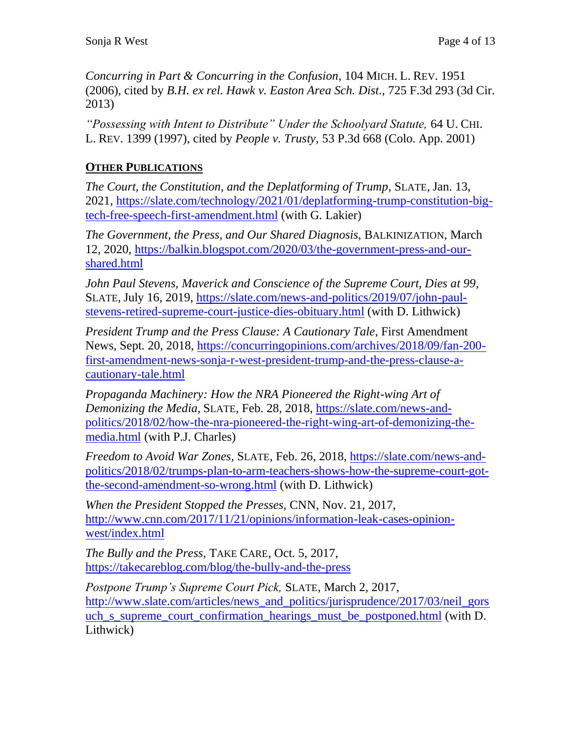*Concurring in Part & Concurring in the Confusion,* 104 MICH. L. REV. 1951 (2006), cited by *B.H. ex rel. Hawk v. Easton Area Sch. Dist*., 725 F.3d 293 (3d Cir. 2013)

*"Possessing with Intent to Distribute" Under the Schoolyard Statute,* 64 U. CHI. L. REV. 1399 (1997), cited by *People v. Trusty*, 53 P.3d 668 (Colo. App. 2001)

### **OTHER PUBLICATIONS**

*The Court, the Constitution, and the Deplatforming of Trump*, SLATE, Jan. 13, 2021, [https://slate.com/technology/2021/01/deplatforming-trump-constitution-big](https://slate.com/technology/2021/01/deplatforming-trump-constitution-big-tech-free-speech-first-amendment.html)[tech-free-speech-first-amendment.html](https://slate.com/technology/2021/01/deplatforming-trump-constitution-big-tech-free-speech-first-amendment.html) (with G. Lakier)

*The Government, the Press, and Our Shared Diagnosis*, BALKINIZATION, March 12, 2020, [https://balkin.blogspot.com/2020/03/the-government-press-and-our](https://balkin.blogspot.com/2020/03/the-government-press-and-our-shared.html)[shared.html](https://balkin.blogspot.com/2020/03/the-government-press-and-our-shared.html)

*John Paul Stevens, Maverick and Conscience of the Supreme Court, Dies at 99*, SLATE, July 16, 2019, [https://slate.com/news-and-politics/2019/07/john-paul](https://slate.com/news-and-politics/2019/07/john-paul-stevens-retired-supreme-court-justice-dies-obituary.html)[stevens-retired-supreme-court-justice-dies-obituary.html](https://slate.com/news-and-politics/2019/07/john-paul-stevens-retired-supreme-court-justice-dies-obituary.html) (with D. Lithwick)

*President Trump and the Press Clause: A Cautionary Tale*, First Amendment News, Sept. 20, 2018, [https://concurringopinions.com/archives/2018/09/fan-200](https://concurringopinions.com/archives/2018/09/fan-200-first-amendment-news-sonja-r-west-president-trump-and-the-press-clause-a-cautionary-tale.html) [first-amendment-news-sonja-r-west-president-trump-and-the-press-clause-a](https://concurringopinions.com/archives/2018/09/fan-200-first-amendment-news-sonja-r-west-president-trump-and-the-press-clause-a-cautionary-tale.html)[cautionary-tale.html](https://concurringopinions.com/archives/2018/09/fan-200-first-amendment-news-sonja-r-west-president-trump-and-the-press-clause-a-cautionary-tale.html)

*Propaganda Machinery: How the NRA Pioneered the Right-wing Art of Demonizing the Media,* SLATE, Feb. 28, 2018, [https://slate.com/news-and](https://slate.com/news-and-politics/2018/02/how-the-nra-pioneered-the-right-wing-art-of-demonizing-the-media.html)[politics/2018/02/how-the-nra-pioneered-the-right-wing-art-of-demonizing-the](https://slate.com/news-and-politics/2018/02/how-the-nra-pioneered-the-right-wing-art-of-demonizing-the-media.html)[media.html](https://slate.com/news-and-politics/2018/02/how-the-nra-pioneered-the-right-wing-art-of-demonizing-the-media.html) (with P.J. Charles)

*Freedom to Avoid War Zones*, SLATE, Feb. 26, 2018, [https://slate.com/news-and](https://slate.com/news-and-politics/2018/02/trumps-plan-to-arm-teachers-shows-how-the-supreme-court-got-the-second-amendment-so-wrong.html)[politics/2018/02/trumps-plan-to-arm-teachers-shows-how-the-supreme-court-got](https://slate.com/news-and-politics/2018/02/trumps-plan-to-arm-teachers-shows-how-the-supreme-court-got-the-second-amendment-so-wrong.html)[the-second-amendment-so-wrong.html](https://slate.com/news-and-politics/2018/02/trumps-plan-to-arm-teachers-shows-how-the-supreme-court-got-the-second-amendment-so-wrong.html) (with D. Lithwick)

*When the President Stopped the Presses,* CNN, Nov. 21, 2017, [http://www.cnn.com/2017/11/21/opinions/information-leak-cases-opinion](http://www.cnn.com/2017/11/21/opinions/information-leak-cases-opinion-west/index.html)[west/index.html](http://www.cnn.com/2017/11/21/opinions/information-leak-cases-opinion-west/index.html)

*The Bully and the Press,* TAKE CARE, Oct. 5, 2017, <https://takecareblog.com/blog/the-bully-and-the-press>

*Postpone Trump's Supreme Court Pick,* SLATE, March 2, 2017, http://www.slate.com/articles/news and politics/jurisprudence/2017/03/neil\_gors uch s supreme court confirmation hearings must be postponed.html (with D. Lithwick)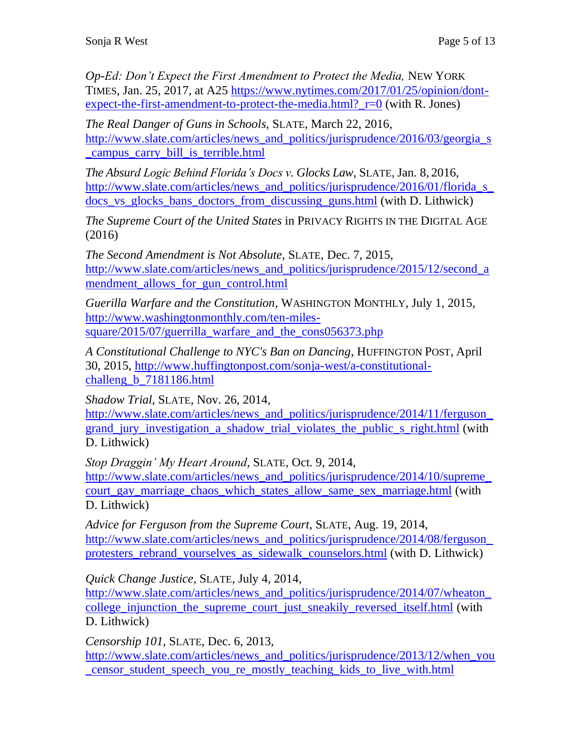*Op-Ed: Don't Expect the First Amendment to Protect the Media,* NEW YORK TIMES*,* Jan. 25, 2017, at A25 [https://www.nytimes.com/2017/01/25/opinion/dont](https://www.nytimes.com/2017/01/25/opinion/dont-expect-the-first-amendment-to-protect-the-media.html?_r=0)expect-the-first-amendment-to-protect-the-media.html? $r=0$  (with R. Jones)

*The Real Danger of Guns in Schools*, SLATE, March 22, 2016, [http://www.slate.com/articles/news\\_and\\_politics/jurisprudence/2016/03/georgia\\_s](http://www.slate.com/articles/news_and_politics/jurisprudence/2016/03/georgia_s_campus_carry_bill_is_terrible.html) [\\_campus\\_carry\\_bill\\_is\\_terrible.html](http://www.slate.com/articles/news_and_politics/jurisprudence/2016/03/georgia_s_campus_carry_bill_is_terrible.html)

*The Absurd Logic Behind Florida's Docs v. Glocks Law*, SLATE, Jan. 8, 2016, http://www.slate.com/articles/news and politics/jurisprudence/2016/01/florida\_s docs vs glocks bans doctors from discussing guns.html (with D. Lithwick)

*The Supreme Court of the United States* in PRIVACY RIGHTS IN THE DIGITAL AGE (2016)

*The Second Amendment is Not Absolute*, SLATE, Dec. 7, 2015, [http://www.slate.com/articles/news\\_and\\_politics/jurisprudence/2015/12/second\\_a](http://www.slate.com/articles/news_and_politics/jurisprudence/2015/12/second_amendment_allows_for_gun_control.html) mendment allows for gun control.html

*Guerilla Warfare and the Constitution*, WASHINGTON MONTHLY, July 1, 2015, [http://www.washingtonmonthly.com/ten-miles](http://www.washingtonmonthly.com/ten-miles-square/2015/07/guerrilla_warfare_and_the_cons056373.php)[square/2015/07/guerrilla\\_warfare\\_and\\_the\\_cons056373.php](http://www.washingtonmonthly.com/ten-miles-square/2015/07/guerrilla_warfare_and_the_cons056373.php)

*A Constitutional Challenge to NYC's Ban on Dancing,* HUFFINGTON POST, April 30, 2015, [http://www.huffingtonpost.com/sonja-west/a-constitutional](http://www.huffingtonpost.com/sonja-west/a-constitutional-challeng_b_7181186.html)[challeng\\_b\\_7181186.html](http://www.huffingtonpost.com/sonja-west/a-constitutional-challeng_b_7181186.html)

*Shadow Trial*, SLATE, Nov. 26, 2014,

http://www.slate.com/articles/news and politics/jurisprudence/2014/11/ferguson grand jury investigation a shadow trial violates the public s right.html (with D. Lithwick)

*Stop Draggin' My Heart Around*, SLATE, Oct. 9, 2014, http://www.slate.com/articles/news and politics/jurisprudence/2014/10/supreme [court\\_gay\\_marriage\\_chaos\\_which\\_states\\_allow\\_same\\_sex\\_marriage.html](http://www.slate.com/articles/news_and_politics/jurisprudence/2014/10/supreme_court_gay_marriage_chaos_which_states_allow_same_sex_marriage.html) (with D. Lithwick)

*Advice for Ferguson from the Supreme Court*, SLATE, Aug. 19, 2014, [http://www.slate.com/articles/news\\_and\\_politics/jurisprudence/2014/08/ferguson\\_](http://www.slate.com/articles/news_and_politics/jurisprudence/2014/08/ferguson_protesters_rebrand_yourselves_as_sidewalk_counselors.html) [protesters\\_rebrand\\_yourselves\\_as\\_sidewalk\\_counselors.html](http://www.slate.com/articles/news_and_politics/jurisprudence/2014/08/ferguson_protesters_rebrand_yourselves_as_sidewalk_counselors.html) (with D. Lithwick)

*Quick Change Justice*, SLATE, July 4, 2014,

http://www.slate.com/articles/news\_and\_politics/jurisprudence/2014/07/wheaton college injunction the supreme court just sneakily reversed itself.html (with D. Lithwick)

*Censorship 101*, SLATE, Dec. 6, 2013,

http://www.slate.com/articles/news and politics/jurisprudence/2013/12/when you [\\_censor\\_student\\_speech\\_you\\_re\\_mostly\\_teaching\\_kids\\_to\\_live\\_with.html](http://www.slate.com/articles/news_and_politics/jurisprudence/2013/12/when_you_censor_student_speech_you_re_mostly_teaching_kids_to_live_with.html)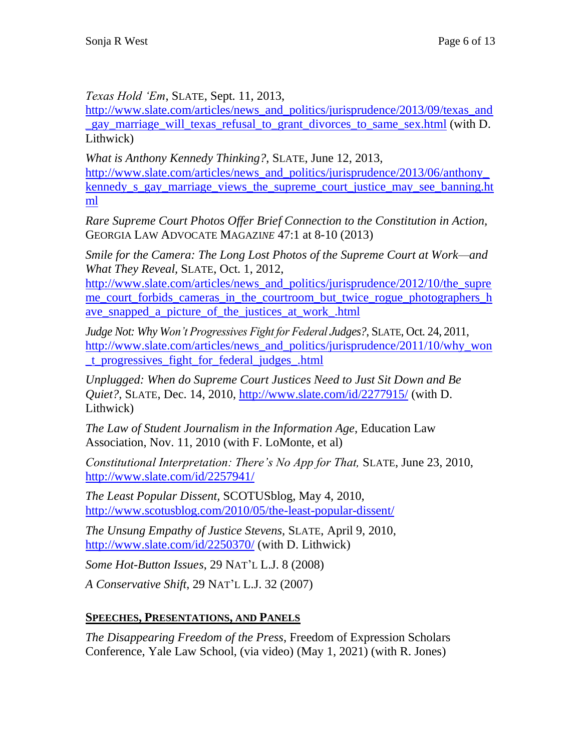*Texas Hold 'Em*, SLATE, Sept. 11, 2013,

http://www.slate.com/articles/news and politics/jurisprudence/2013/09/texas and gay marriage will texas refusal to grant divorces to same sex.html (with D. Lithwick)

*What is Anthony Kennedy Thinking?*, SLATE, June 12, 2013, [http://www.slate.com/articles/news\\_and\\_politics/jurisprudence/2013/06/anthony\\_](http://www.slate.com/articles/news_and_politics/jurisprudence/2013/06/anthony_kennedy_s_gay_marriage_views_the_supreme_court_justice_may_see_banning.html) kennedy s gay marriage views the supreme court justice may see banning.ht [ml](http://www.slate.com/articles/news_and_politics/jurisprudence/2013/06/anthony_kennedy_s_gay_marriage_views_the_supreme_court_justice_may_see_banning.html) 

*Rare Supreme Court Photos Offer Brief Connection to the Constitution in Action,*  GEORGIA LAW ADVOCATE MAGAZI*NE* 47:1 at 8-10 (2013)

*Smile for the Camera: The Long Lost Photos of the Supreme Court at Work—and What They Reveal,* SLATE, Oct. 1, 2012,

http://www.slate.com/articles/news and politics/jurisprudence/2012/10/the supre [me\\_court\\_forbids\\_cameras\\_in\\_the\\_courtroom\\_but\\_twice\\_rogue\\_photographers\\_h](http://www.slate.com/articles/news_and_politics/jurisprudence/2012/10/the_supreme_court_forbids_cameras_in_the_courtroom_but_twice_rogue_photographers_have_snapped_a_picture_of_the_justices_at_work_.html) ave snapped a picture of the justices at work .html

*Judge Not: Why Won't Progressives Fight for Federal Judges?*, SLATE, Oct. 24, 2011, http://www.slate.com/articles/news and politics/jurisprudence/2011/10/why won [\\_t\\_progressives\\_fight\\_for\\_federal\\_judges\\_.html](http://www.slate.com/articles/news_and_politics/jurisprudence/2011/10/why_won_t_progressives_fight_for_federal_judges_.html)

*Unplugged: When do Supreme Court Justices Need to Just Sit Down and Be Quiet?*, SLATE, Dec. 14, 2010,<http://www.slate.com/id/2277915/> (with D. Lithwick)

*The Law of Student Journalism in the Information Age*, Education Law Association, Nov. 11, 2010 (with F. LoMonte, et al)

*Constitutional Interpretation: There's No App for That,* SLATE, June 23, 2010, <http://www.slate.com/id/2257941/>

*The Least Popular Dissent,* SCOTUSblog, May 4, 2010, <http://www.scotusblog.com/2010/05/the-least-popular-dissent/>

*The Unsung Empathy of Justice Stevens,* SLATE, April 9, 2010, <http://www.slate.com/id/2250370/> (with D. Lithwick)

*Some Hot-Button Issues*, 29 NAT'L L.J. 8 (2008)

*A Conservative Shift*, 29 NAT'L L.J. 32 (2007)

# **SPEECHES, PRESENTATIONS, AND PANELS**

*The Disappearing Freedom of the Press*, Freedom of Expression Scholars Conference, Yale Law School, (via video) (May 1, 2021) (with R. Jones)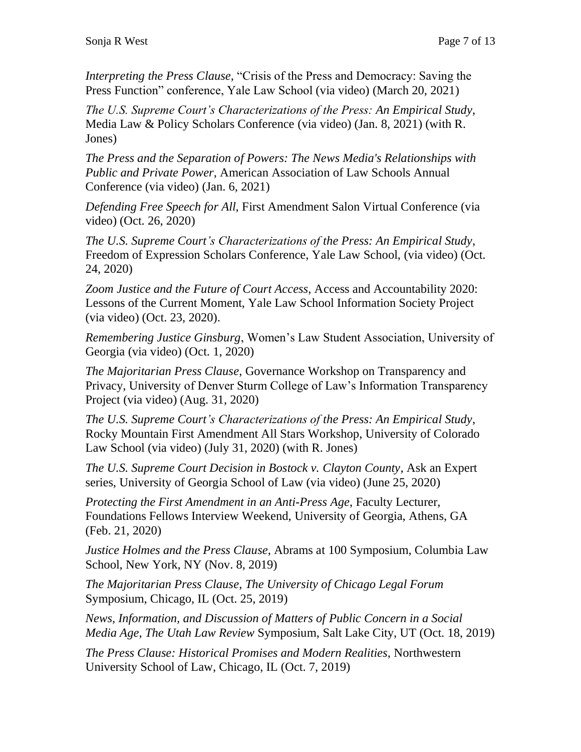*Interpreting the Press Clause,* "Crisis of the Press and Democracy: Saving the Press Function" conference, Yale Law School (via video) (March 20, 2021)

*The U.S. Supreme Court's Characterizations of the Press: An Empirical Study*, Media Law & Policy Scholars Conference (via video) (Jan. 8, 2021) (with R. Jones)

*The Press and the Separation of Powers: The News Media's Relationships with Public and Private Power*, American Association of Law Schools Annual Conference (via video) (Jan. 6, 2021)

*Defending Free Speech for All,* First Amendment Salon Virtual Conference (via video) (Oct. 26, 2020)

*The U.S. Supreme Court's Characterizations of the Press: An Empirical Study*, Freedom of Expression Scholars Conference, Yale Law School, (via video) (Oct. 24, 2020)

*Zoom Justice and the Future of Court Access*, Access and Accountability 2020: Lessons of the Current Moment, Yale Law School Information Society Project (via video) (Oct. 23, 2020).

*Remembering Justice Ginsburg*, Women's Law Student Association, University of Georgia (via video) (Oct. 1, 2020)

*The Majoritarian Press Clause*, Governance Workshop on Transparency and Privacy, University of Denver Sturm College of Law's Information Transparency Project (via video) (Aug. 31, 2020)

*The U.S. Supreme Court's Characterizations of the Press: An Empirical Study*, Rocky Mountain First Amendment All Stars Workshop, University of Colorado Law School (via video) (July 31, 2020) (with R. Jones)

*The U.S. Supreme Court Decision in Bostock v. Clayton County*, Ask an Expert series, University of Georgia School of Law (via video) (June 25, 2020)

*Protecting the First Amendment in an Anti-Press Age*, Faculty Lecturer, Foundations Fellows Interview Weekend, University of Georgia, Athens, GA (Feb. 21, 2020)

*Justice Holmes and the Press Clause*, Abrams at 100 Symposium, Columbia Law School, New York, NY (Nov. 8, 2019)

*The Majoritarian Press Clause*, *The University of Chicago Legal Forum* Symposium, Chicago, IL (Oct. 25, 2019)

*News, Information, and Discussion of Matters of Public Concern in a Social Media Age*, *The Utah Law Review* Symposium, Salt Lake City, UT (Oct. 18, 2019)

*The Press Clause: Historical Promises and Modern Realities*, Northwestern University School of Law, Chicago, IL (Oct. 7, 2019)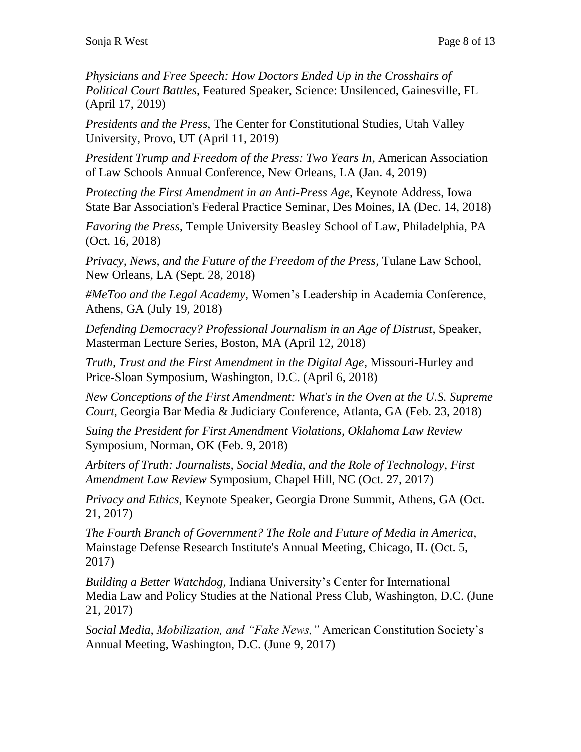*Physicians and Free Speech: How Doctors Ended Up in the Crosshairs of Political Court Battles*, Featured Speaker, Science: Unsilenced, Gainesville, FL (April 17, 2019)

*Presidents and the Press*, The Center for Constitutional Studies, Utah Valley University, Provo, UT (April 11, 2019)

*President Trump and Freedom of the Press: Two Years In*, American Association of Law Schools Annual Conference, New Orleans, LA (Jan. 4, 2019)

*Protecting the First Amendment in an Anti-Press Age*, Keynote Address, Iowa State Bar Association's Federal Practice Seminar, Des Moines, IA (Dec. 14, 2018)

*Favoring the Press,* Temple University Beasley School of Law, Philadelphia, PA (Oct. 16, 2018)

*Privacy, News, and the Future of the Freedom of the Press*, Tulane Law School, New Orleans, LA (Sept. 28, 2018)

*#MeToo and the Legal Academy*, Women's Leadership in Academia Conference, Athens, GA (July 19, 2018)

*Defending Democracy? Professional Journalism in an Age of Distrust*, Speaker, Masterman Lecture Series, Boston, MA (April 12, 2018)

*Truth, Trust and the First Amendment in the Digital Age*, Missouri-Hurley and Price-Sloan Symposium, Washington, D.C. (April 6, 2018)

*New Conceptions of the First Amendment: What's in the Oven at the U.S. Supreme Court*, Georgia Bar Media & Judiciary Conference, Atlanta, GA (Feb. 23, 2018)

*Suing the President for First Amendment Violations*, *Oklahoma Law Review* Symposium, Norman, OK (Feb. 9, 2018)

*Arbiters of Truth: Journalists, Social Media, and the Role of Technology*, *First Amendment Law Review* Symposium, Chapel Hill, NC (Oct. 27, 2017)

*Privacy and Ethics*, Keynote Speaker, Georgia Drone Summit, Athens, GA (Oct. 21, 2017)

*The Fourth Branch of Government? The Role and Future of Media in America,*  Mainstage Defense Research Institute's Annual Meeting, Chicago, IL (Oct. 5, 2017)

*Building a Better Watchdog*, Indiana University's Center for International Media Law and Policy Studies at the National Press Club, Washington, D.C. (June 21, 2017)

*Social Media, Mobilization, and "Fake News,"* American Constitution Society's Annual Meeting, Washington, D.C. (June 9, 2017)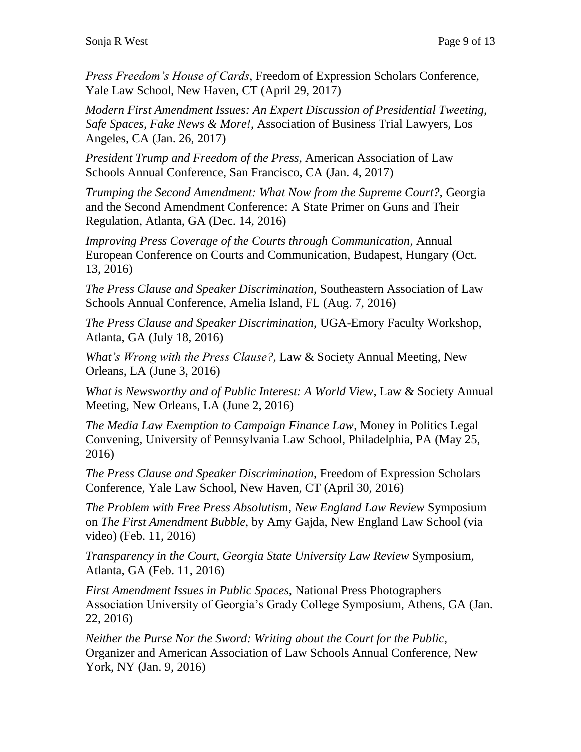*Press Freedom's House of Cards*, Freedom of Expression Scholars Conference, Yale Law School, New Haven, CT (April 29, 2017)

*Modern First Amendment Issues: An Expert Discussion of Presidential Tweeting, Safe Spaces, Fake News & More!*, Association of Business Trial Lawyers, Los Angeles, CA (Jan. 26, 2017)

*President Trump and Freedom of the Press*, American Association of Law Schools Annual Conference, San Francisco, CA (Jan. 4, 2017)

*Trumping the Second Amendment: What Now from the Supreme Court?,* Georgia and the Second Amendment Conference: A State Primer on Guns and Their Regulation, Atlanta, GA (Dec. 14, 2016)

*Improving Press Coverage of the Courts through Communication*, Annual European Conference on Courts and Communication, Budapest, Hungary (Oct. 13, 2016)

*The Press Clause and Speaker Discrimination*, Southeastern Association of Law Schools Annual Conference, Amelia Island, FL (Aug. 7, 2016)

*The Press Clause and Speaker Discrimination*, UGA-Emory Faculty Workshop, Atlanta, GA (July 18, 2016)

*What's Wrong with the Press Clause?*, Law & Society Annual Meeting, New Orleans, LA (June 3, 2016)

*What is Newsworthy and of Public Interest: A World View*, Law & Society Annual Meeting, New Orleans, LA (June 2, 2016)

*The Media Law Exemption to Campaign Finance Law*, Money in Politics Legal Convening, University of Pennsylvania Law School, Philadelphia, PA (May 25, 2016)

*The Press Clause and Speaker Discrimination*, Freedom of Expression Scholars Conference, Yale Law School, New Haven, CT (April 30, 2016)

*The Problem with Free Press Absolutism*, *New England Law Review* Symposium on *The First Amendment Bubble*, by Amy Gajda, New England Law School (via video) (Feb. 11, 2016)

*Transparency in the Court*, *Georgia State University Law Review* Symposium, Atlanta, GA (Feb. 11, 2016)

*First Amendment Issues in Public Spaces*, National Press Photographers Association University of Georgia's Grady College Symposium, Athens, GA (Jan. 22, 2016)

*Neither the Purse Nor the Sword: Writing about the Court for the Public*, Organizer and American Association of Law Schools Annual Conference, New York, NY (Jan. 9, 2016)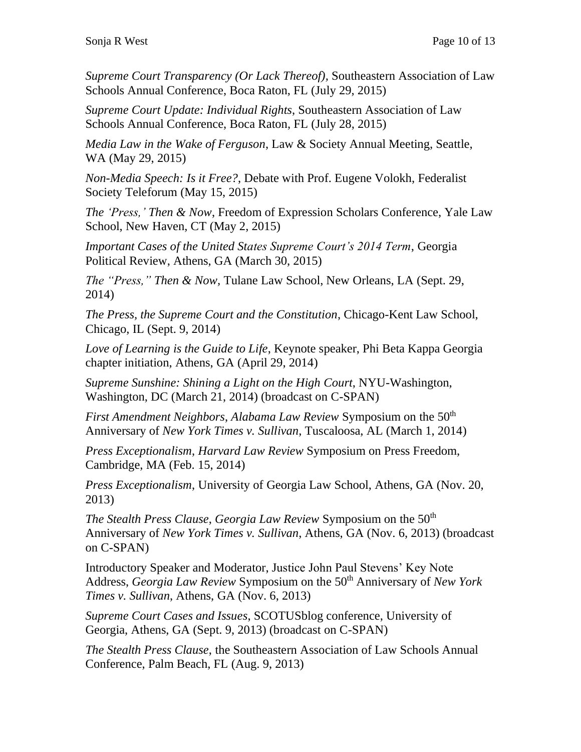*Supreme Court Transparency (Or Lack Thereof),* Southeastern Association of Law Schools Annual Conference, Boca Raton, FL (July 29, 2015)

*Supreme Court Update: Individual Rights*, Southeastern Association of Law Schools Annual Conference, Boca Raton, FL (July 28, 2015)

*Media Law in the Wake of Ferguson*, Law & Society Annual Meeting, Seattle, WA (May 29, 2015)

*Non-Media Speech: Is it Free?*, Debate with Prof. Eugene Volokh, Federalist Society Teleforum (May 15, 2015)

*The 'Press,' Then & Now*, Freedom of Expression Scholars Conference, Yale Law School, New Haven, CT (May 2, 2015)

*Important Cases of the United States Supreme Court's 2014 Term*, Georgia Political Review, Athens, GA (March 30, 2015)

*The "Press," Then & Now,* Tulane Law School, New Orleans, LA (Sept. 29, 2014)

*The Press, the Supreme Court and the Constitution*, Chicago-Kent Law School, Chicago, IL (Sept. 9, 2014)

*Love of Learning is the Guide to Life*, Keynote speaker, Phi Beta Kappa Georgia chapter initiation, Athens, GA (April 29, 2014)

*Supreme Sunshine: Shining a Light on the High Court*, NYU-Washington, Washington, DC (March 21, 2014) (broadcast on C-SPAN)

*First Amendment Neighbors, Alabama Law Review Symposium on the 50<sup>th</sup>* Anniversary of *New York Times v. Sullivan*, Tuscaloosa, AL (March 1, 2014)

*Press Exceptionalism*, *Harvard Law Review* Symposium on Press Freedom, Cambridge, MA (Feb. 15, 2014)

*Press Exceptionalism*, University of Georgia Law School, Athens, GA (Nov. 20, 2013)

*The Stealth Press Clause, Georgia Law Review Symposium on the 50<sup>th</sup>* Anniversary of *New York Times v. Sullivan*, Athens, GA (Nov. 6, 2013) (broadcast on C-SPAN)

Introductory Speaker and Moderator, Justice John Paul Stevens' Key Note Address, *Georgia Law Review* Symposium on the 50<sup>th</sup> Anniversary of *New York Times v. Sullivan*, Athens, GA (Nov. 6, 2013)

*Supreme Court Cases and Issues*, SCOTUSblog conference, University of Georgia, Athens, GA (Sept. 9, 2013) (broadcast on C-SPAN)

*The Stealth Press Clause*, the Southeastern Association of Law Schools Annual Conference, Palm Beach, FL (Aug. 9, 2013)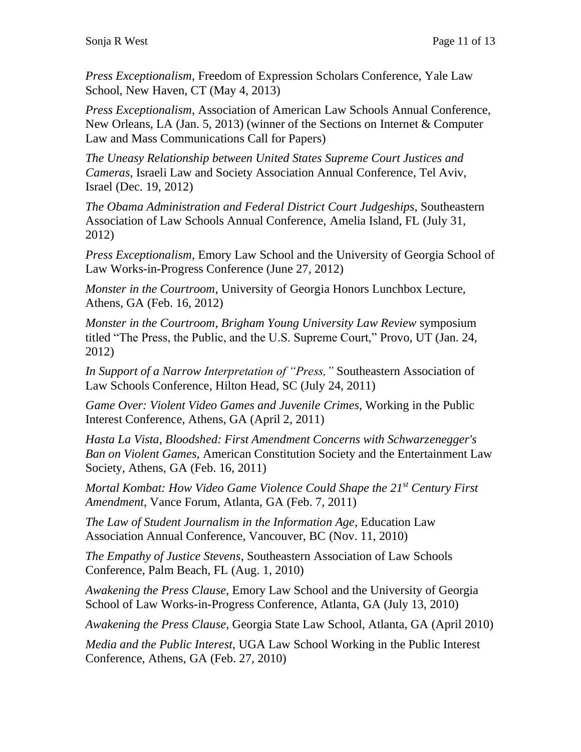*Press Exceptionalism*, Freedom of Expression Scholars Conference, Yale Law School, New Haven, CT (May 4, 2013)

*Press Exceptionalism*, Association of American Law Schools Annual Conference, New Orleans, LA (Jan. 5, 2013) (winner of the Sections on Internet & Computer Law and Mass Communications Call for Papers)

*The Uneasy Relationship between United States Supreme Court Justices and Cameras*, Israeli Law and Society Association Annual Conference, Tel Aviv, Israel (Dec. 19, 2012)

*The Obama Administration and Federal District Court Judgeships*, Southeastern Association of Law Schools Annual Conference, Amelia Island, FL (July 31, 2012)

*Press Exceptionalism*, Emory Law School and the University of Georgia School of Law Works-in-Progress Conference (June 27, 2012)

*Monster in the Courtroom*, University of Georgia Honors Lunchbox Lecture, Athens, GA (Feb. 16, 2012)

*Monster in the Courtroom*, *Brigham Young University Law Review* symposium titled "The Press, the Public, and the U.S. Supreme Court," Provo, UT (Jan. 24, 2012)

*In Support of a Narrow Interpretation of "Press,"* Southeastern Association of Law Schools Conference, Hilton Head, SC (July 24, 2011)

*Game Over: Violent Video Games and Juvenile Crimes*, Working in the Public Interest Conference, Athens, GA (April 2, 2011)

*Hasta La Vista, Bloodshed: First Amendment Concerns with Schwarzenegger's Ban on Violent Games*, American Constitution Society and the Entertainment Law Society, Athens, GA (Feb. 16, 2011)

*Mortal Kombat: How Video Game Violence Could Shape the 21st Century First Amendment*, Vance Forum, Atlanta, GA (Feb. 7, 2011)

*The Law of Student Journalism in the Information Age*, Education Law Association Annual Conference, Vancouver, BC (Nov. 11, 2010)

*The Empathy of Justice Stevens*, Southeastern Association of Law Schools Conference, Palm Beach, FL (Aug. 1, 2010)

*Awakening the Press Clause*, Emory Law School and the University of Georgia School of Law Works-in-Progress Conference, Atlanta, GA (July 13, 2010)

*Awakening the Press Clause*, Georgia State Law School, Atlanta, GA (April 2010)

*Media and the Public Interest*, UGA Law School Working in the Public Interest Conference, Athens, GA (Feb. 27, 2010)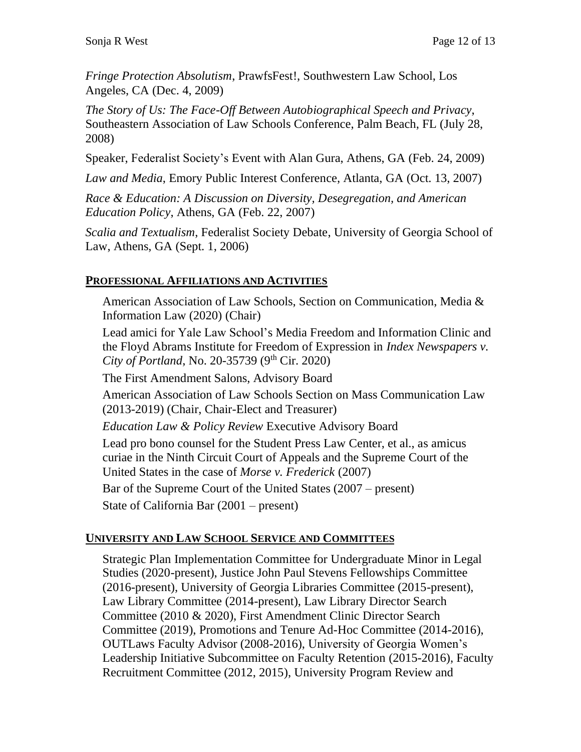*Fringe Protection Absolutism*, PrawfsFest!, Southwestern Law School, Los Angeles, CA (Dec. 4, 2009)

*The Story of Us: The Face-Off Between Autobiographical Speech and Privacy*, Southeastern Association of Law Schools Conference, Palm Beach, FL (July 28, 2008)

Speaker, Federalist Society's Event with Alan Gura, Athens, GA (Feb. 24, 2009)

*Law and Media*, Emory Public Interest Conference, Atlanta, GA (Oct. 13, 2007)

*Race & Education: A Discussion on Diversity, Desegregation, and American Education Policy*, Athens, GA (Feb. 22, 2007)

*Scalia and Textualism*, Federalist Society Debate, University of Georgia School of Law, Athens, GA (Sept. 1, 2006)

### **PROFESSIONAL AFFILIATIONS AND ACTIVITIES**

American Association of Law Schools, Section on Communication, Media & Information Law (2020) (Chair)

Lead amici for Yale Law School's Media Freedom and Information Clinic and the Floyd Abrams Institute for Freedom of Expression in *Index Newspapers v. City of Portland*, No. 20-35739 (9<sup>th</sup> Cir. 2020)

The First Amendment Salons, Advisory Board

American Association of Law Schools Section on Mass Communication Law (2013-2019) (Chair, Chair-Elect and Treasurer)

*Education Law & Policy Review* Executive Advisory Board

Lead pro bono counsel for the Student Press Law Center, et al., as amicus curiae in the Ninth Circuit Court of Appeals and the Supreme Court of the United States in the case of *Morse v. Frederick* (2007)

Bar of the Supreme Court of the United States (2007 – present)

State of California Bar (2001 – present)

# **UNIVERSITY AND LAW SCHOOL SERVICE AND COMMITTEES**

Strategic Plan Implementation Committee for Undergraduate Minor in Legal Studies (2020-present), Justice John Paul Stevens Fellowships Committee (2016-present), University of Georgia Libraries Committee (2015-present), Law Library Committee (2014-present), Law Library Director Search Committee (2010 & 2020), First Amendment Clinic Director Search Committee (2019), Promotions and Tenure Ad-Hoc Committee (2014-2016), OUTLaws Faculty Advisor (2008-2016), University of Georgia Women's Leadership Initiative Subcommittee on Faculty Retention (2015-2016), Faculty Recruitment Committee (2012, 2015), University Program Review and